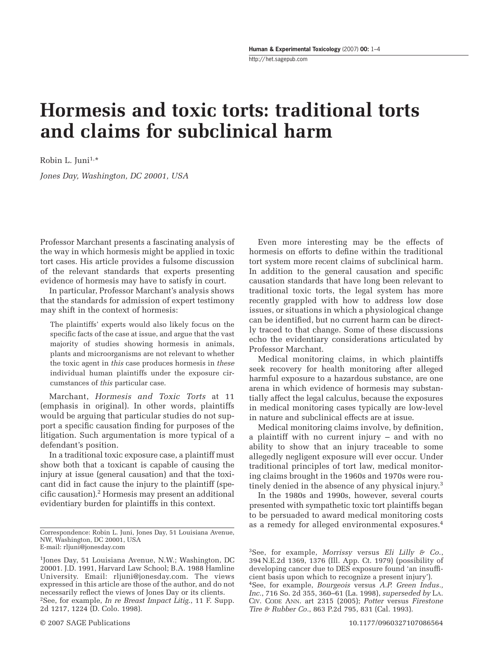## **Hormesis and toxic torts: traditional torts and claims for subclinical harm**

Robin L. Juni<sup>1,\*</sup>

*Jones Day, Washington, DC 20001, USA*

Professor Marchant presents a fascinating analysis of the way in which hormesis might be applied in toxic tort cases. His article provides a fulsome discussion of the relevant standards that experts presenting evidence of hormesis may have to satisfy in court.

In particular, Professor Marchant's analysis shows that the standards for admission of expert testimony may shift in the context of hormesis:

The plaintiffs' experts would also likely focus on the specific facts of the case at issue, and argue that the vast majority of studies showing hormesis in animals, plants and microorganisms are not relevant to whether the toxic agent in *this* case produces hormesis in *these* individual human plaintiffs under the exposure circumstances of *this* particular case.

Marchant, *Hormesis and Toxic Torts* at 11 (emphasis in original). In other words, plaintiffs would be arguing that particular studies do not support a specific causation finding for purposes of the litigation. Such argumentation is more typical of a defendant's position.

In a traditional toxic exposure case, a plaintiff must show both that a toxicant is capable of causing the injury at issue (general causation) and that the toxicant did in fact cause the injury to the plaintiff (specific causation).2 Hormesis may present an additional evidentiary burden for plaintiffs in this context.

Even more interesting may be the effects of hormesis on efforts to define within the traditional tort system more recent claims of subclinical harm. In addition to the general causation and specific causation standards that have long been relevant to traditional toxic torts, the legal system has more recently grappled with how to address low dose issues, or situations in which a physiological change can be identified, but no current harm can be directly traced to that change. Some of these discussions echo the evidentiary considerations articulated by Professor Marchant.

Medical monitoring claims, in which plaintiffs seek recovery for health monitoring after alleged harmful exposure to a hazardous substance, are one arena in which evidence of hormesis may substantially affect the legal calculus, because the exposures in medical monitoring cases typically are low-level in nature and subclinical effects are at issue.

Medical monitoring claims involve, by definition, a plaintiff with no current injury – and with no ability to show that an injury traceable to some allegedly negligent exposure will ever occur. Under traditional principles of tort law, medical monitoring claims brought in the 1960s and 1970s were routinely denied in the absence of any physical injury.3

In the 1980s and 1990s, however, several courts presented with sympathetic toxic tort plaintiffs began to be persuaded to award medical monitoring costs as a remedy for alleged environmental exposures.4

3See, for example, *Morrissy* versus *Eli Lilly & Co*., 394 N.E.2d 1369, 1376 (Ill. App. Ct. 1979) (possibility of developing cancer due to DES exposure found 'an insufficient basis upon which to recognize a present injury'). 4See, for example, *Bourgeois* versus *A.P. Green Indus., Inc.*, 716 So. 2d 355, 360–61 (La. 1998), *superseded by* LA. CIV. CODE ANN. art 2315 (2005); *Potter* versus *Firestone Tire & Rubber Co.*, 863 P.2d 795, 831 (Cal. 1993).

Correspondence: Robin L. Juni, Jones Day, 51 Louisiana Avenue, NW, Washington, DC 20001, USA E-mail: rljuni@jonesday.com

<sup>1</sup>Jones Day, 51 Louisiana Avenue, N.W.; Washington, DC 20001. J.D. 1991, Harvard Law School; B.A. 1988 Hamline University. Email: rljuni@jonesday.com. The views expressed in this article are those of the author, and do not necessarily reflect the views of Jones Day or its clients. 2See, for example, *In re Breast Impact Litig*., 11 F. Supp. 2d 1217, 1224 (D. Colo. 1998).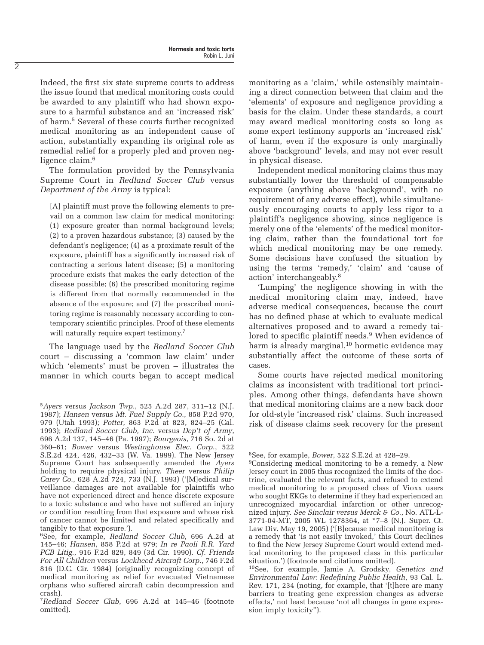Indeed, the first six state supreme courts to address the issue found that medical monitoring costs could be awarded to any plaintiff who had shown exposure to a harmful substance and an 'increased risk' of harm.5 Several of these courts further recognized medical monitoring as an independent cause of action, substantially expanding its original role as remedial relief for a properly pled and proven negligence claim.<sup>6</sup>

The formulation provided by the Pennsylvania Supreme Court in *Redland Soccer Club* versus *Department of the Army* is typical:

[A] plaintiff must prove the following elements to prevail on a common law claim for medical monitoring: (1) exposure greater than normal background levels; (2) to a proven hazardous substance; (3) caused by the defendant's negligence; (4) as a proximate result of the exposure, plaintiff has a significantly increased risk of contracting a serious latent disease; (5) a monitoring procedure exists that makes the early detection of the disease possible; (6) the prescribed monitoring regime is different from that normally recommended in the absence of the exposure; and (7) the prescribed monitoring regime is reasonably necessary according to contemporary scientific principles. Proof of these elements will naturally require expert testimony.<sup>7</sup>

The language used by the *Redland Soccer Club* court – discussing a 'common law claim' under which 'elements' must be proven – illustrates the manner in which courts began to accept medical

monitoring as a 'claim,' while ostensibly maintaining a direct connection between that claim and the 'elements' of exposure and negligence providing a basis for the claim. Under these standards, a court may award medical monitoring costs so long as some expert testimony supports an 'increased risk' of harm, even if the exposure is only marginally above 'background' levels, and may not ever result in physical disease.

Independent medical monitoring claims thus may substantially lower the threshold of compensable exposure (anything above 'background', with no requirement of any adverse effect), while simultaneously encouraging courts to apply less rigor to a plaintiff's negligence showing, since negligence is merely one of the 'elements' of the medical monitoring claim, rather than the foundational tort for which medical monitoring may be one remedy. Some decisions have confused the situation by using the terms 'remedy,' 'claim' and 'cause of action' interchangeably.8

'Lumping' the negligence showing in with the medical monitoring claim may, indeed, have adverse medical consequences, because the court has no defined phase at which to evaluate medical alternatives proposed and to award a remedy tailored to specific plaintiff needs.<sup>9</sup> When evidence of harm is already marginal, $10$  hormetic evidence may substantially affect the outcome of these sorts of cases.

Some courts have rejected medical monitoring claims as inconsistent with traditional tort principles. Among other things, defendants have shown that medical monitoring claims are a new back door for old-style 'increased risk' claims. Such increased risk of disease claims seek recovery for the present

 $\overline{2}$ 

<sup>5</sup>*Ayers* versus *Jackson Twp.*, 525 A.2d 287, 311–12 (N.J. 1987); *Hansen* versus *Mt. Fuel Supply Co*., 858 P.2d 970, 979 (Utah 1993); *Potter*, 863 P.2d at 823, 824–25 (Cal. 1993); *Redland Soccer Club, Inc.* versus *Dep't of Army*, 696 A.2d 137, 145–46 (Pa. 1997); *Bourgeois*, 716 So. 2d at 360–61; *Bower* versus *Westinghouse Elec. Corp*., 522 S.E.2d 424, 426, 432–33 (W. Va. 1999). The New Jersey Supreme Court has subsequently amended the *Ayers* holding to require physical injury. *Theer* versus *Philip Carey Co*., 628 A.2d 724, 733 (N.J. 1993) ('[M]edical surveillance damages are not available for plaintiffs who have not experienced direct and hence discrete exposure to a toxic substance and who have not suffered an injury or condition resulting from that exposure and whose risk of cancer cannot be limited and related specifically and tangibly to that exposure.').

<sup>6</sup>See, for example, *Redland Soccer Club*, 696 A.2d at 145–46; *Hansen*, 858 P.2d at 979; *In re Paoli R.R. Yard PCB Litig.*, 916 F.2d 829, 849 (3d Cir. 1990). *Cf. Friends For All Children* versus *Lockheed Aircraft Corp.*, 746 F.2d 816 (D.C. Cir. 1984) (originally recognizing concept of medical monitoring as relief for evacuated Vietnamese orphans who suffered aircraft cabin decompression and crash).

<sup>7</sup>*Redland Soccer Club*, 696 A.2d at 145–46 (footnote omitted).

<sup>8</sup>See, for example, *Bower*, 522 S.E.2d at 428–29.

<sup>9</sup>Considering medical monitoring to be a remedy, a New Jersey court in 2005 thus recognized the limits of the doctrine, evaluated the relevant facts, and refused to extend medical monitoring to a proposed class of Vioxx users who sought EKGs to determine if they had experienced an unrecognized myocardial infarction or other unrecognized injury. *See Sinclair versus Merck & Co.*, No. ATL-L-3771-04-MT, 2005 WL 1278364, at \*7–8 (N.J. Super. Ct. Law Div. May 19, 2005) ('[B]ecause medical monitoring is a remedy that 'is not easily invoked,' this Court declines to find the New Jersey Supreme Court would extend medical monitoring to the proposed class in this particular situation.') (footnote and citations omitted).

<sup>10</sup>See, for example, Jamie A. Grodsky, *Genetics and Environmental Law: Redefining Public Health*, 93 Cal. L. Rev. 171, 234 (noting, for example, that '[t]here are many barriers to treating gene expression changes as adverse effects,' not least because 'not all changes in gene expression imply toxicity").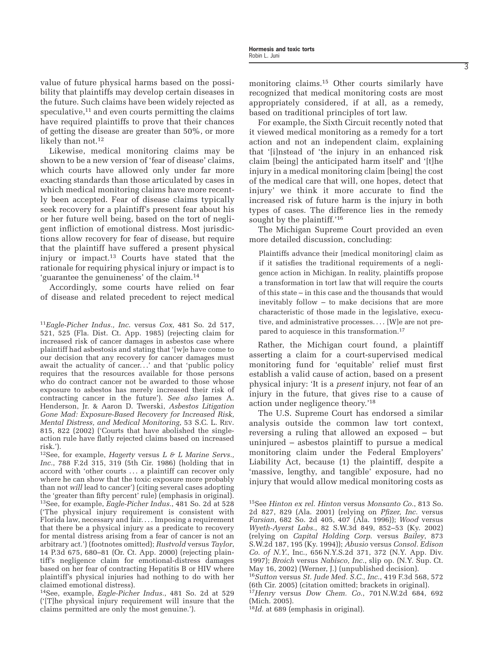value of future physical harms based on the possibility that plaintiffs may develop certain diseases in the future. Such claims have been widely rejected as speculative, $11$  and even courts permitting the claims have required plaintiffs to prove that their chances of getting the disease are greater than 50%, or more likely than not.<sup>12</sup>

Likewise, medical monitoring claims may be shown to be a new version of 'fear of disease' claims, which courts have allowed only under far more exacting standards than those articulated by cases in which medical monitoring claims have more recently been accepted. Fear of disease claims typically seek recovery for a plaintiff's present fear about his or her future well being, based on the tort of negligent infliction of emotional distress. Most jurisdictions allow recovery for fear of disease, but require that the plaintiff have suffered a present physical injury or impact.13 Courts have stated that the rationale for requiring physical injury or impact is to 'guarantee the genuineness' of the claim.14

Accordingly, some courts have relied on fear of disease and related precedent to reject medical

<sup>11</sup>*Eagle-Picher Indus., Inc*. versus *Cox*, 481 So. 2d 517, 521, 525 (Fla. Dist. Ct. App. 1985) (rejecting claim for increased risk of cancer damages in asbestos case where plaintiff had asbestosis and stating that '[w]e have come to our decision that any recovery for cancer damages must await the actuality of cancer...' and that 'public policy requires that the resources available for those persons who do contract cancer not be awarded to those whose exposure to asbestos has merely increased their risk of contracting cancer in the future'). *See also* James A. Henderson, Jr. & Aaron D. Twerski, *Asbestos Litigation Gone Mad: Exposure-Based Recovery for Increased Risk, Mental Distress, and Medical Monitoring*, 53 S.C. L. REV. 815, 822 (2002) ('Courts that have abolished the singleaction rule have flatly rejected claims based on increased risk.').

12See, for example, *Hagerty* versus *L & L Marine Servs., Inc.*, 788 F.2d 315, 319 (5th Cir. 1986) (holding that in accord with 'other courts ... a plaintiff can recover only where he can show that the toxic exposure more probably than not *will* lead to cancer') (citing several cases adopting the 'greater than fifty percent' rule) (emphasis in original). 13See, for example, *Eagle-Picher Indus.*, 481 So. 2d at 528 ('The physical injury requirement is consistent with Florida law, necessary and fair.... Imposing a requirement that there be a physical injury as a predicate to recovery for mental distress arising from a fear of cancer is not an arbitrary act.') (footnotes omitted); *Rustvold* versus *Taylor*, 14 P.3d 675, 680–81 (Or. Ct. App. 2000) (rejecting plaintiff's negligence claim for emotional-distress damages based on her fear of contracting Hepatitis B or HIV where plaintiff's physical injuries had nothing to do with her claimed emotional distress).

14See, example, *Eagle-Picher Indus.*, 481 So. 2d at 529 ('[T]he physical injury requirement will insure that the claims permitted are only the most genuine.').

monitoring claims.15 Other courts similarly have recognized that medical monitoring costs are most appropriately considered, if at all, as a remedy, based on traditional principles of tort law.

For example, the Sixth Circuit recently noted that it viewed medical monitoring as a remedy for a tort action and not an independent claim, explaining that '[i]nstead of 'the injury in an enhanced risk claim [being] the anticipated harm itself' and '[t]he injury in a medical monitoring claim [being] the cost of the medical care that will, one hopes, detect that injury' we think it more accurate to find the increased risk of future harm is the injury in both types of cases. The difference lies in the remedy sought by the plaintiff.'<sup>16</sup>

The Michigan Supreme Court provided an even more detailed discussion, concluding:

Plaintiffs advance their [medical monitoring] claim as if it satisfies the traditional requirements of a negligence action in Michigan. In reality, plaintiffs propose a transformation in tort law that will require the courts of this state – in this case and the thousands that would inevitably follow – to make decisions that are more characteristic of those made in the legislative, executive, and administrative processes. . . . [W]e are not prepared to acquiesce in this transformation.<sup>17</sup>

Rather, the Michigan court found, a plaintiff asserting a claim for a court-supervised medical monitoring fund for 'equitable' relief must first establish a valid cause of action, based on a present physical injury: 'It is a *present* injury, not fear of an injury in the future, that gives rise to a cause of action under negligence theory.'18

The U.S. Supreme Court has endorsed a similar analysis outside the common law tort context, reversing a ruling that allowed an exposed – but uninjured – asbestos plaintiff to pursue a medical monitoring claim under the Federal Employers' Liability Act, because (1) the plaintiff, despite a 'massive, lengthy, and tangible' exposure, had no injury that would allow medical monitoring costs as

15See *Hinton ex rel. Hinton* versus *Monsanto Co.*, 813 So. 2d 827, 829 (Ala. 2001) (relying on *Pfizer, Inc.* versus *Farsian*, 682 So. 2d 405, 407 (Ala. 1996)); *Wood* versus *Wyeth-Ayerst Labs.*, 82 S.W.3d 849, 852–53 (Ky. 2002) (relying on *Capital Holding Corp*. versus *Bailey*, 873 S.W.2d 187, 195 (Ky. 1994)); *Abusio* versus *Consol. Edison Co. of N.Y.*, Inc., 656 N.Y.S.2d 371, 372 (N.Y. App. Div. 1997); *Broich* versus *Nabisco, Inc.*, slip op. (N.Y. Sup. Ct. May 16, 2002) (Werner, J.) (unpublished decision).

<sup>16</sup>*Sutton* versus *St. Jude Med. S.C., Inc.*, 419 F.3d 568, 572 (6th Cir. 2005) (citation omitted; brackets in original).

<sup>17</sup>*Henry* versus *Dow Chem. Co.*, 701 N.W.2d 684, 692 (Mich. 2005).

<sup>18</sup>*Id.* at 689 (emphasis in original).

3